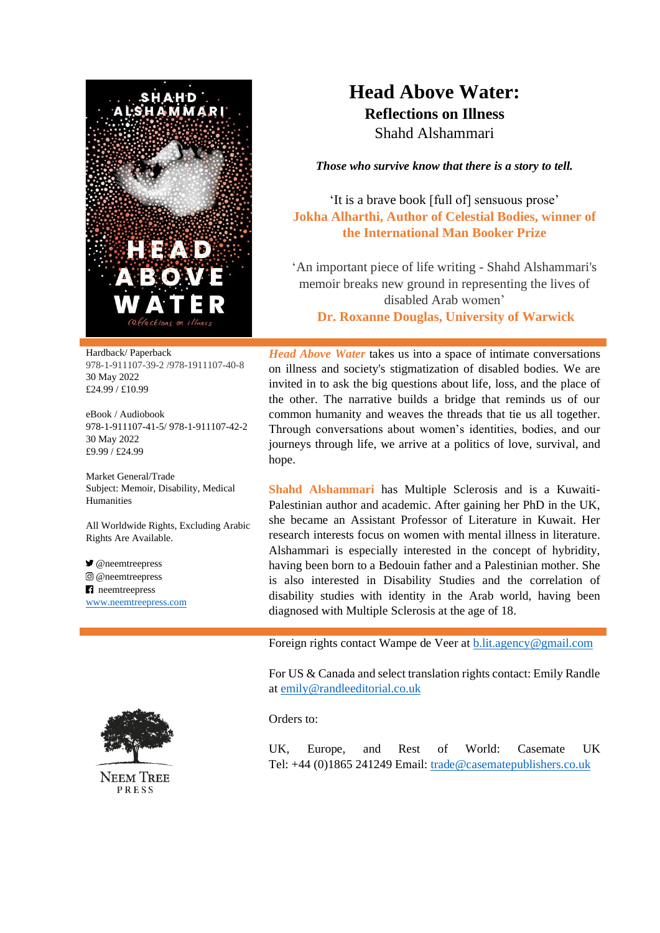

## **Head Above Water: Reflections on Illness**

Shahd Alshammari

*Those who survive know that there is a story to tell.*

'It is a brave book [full of] sensuous prose' **Jokha Alharthi, Author of Celestial Bodies, winner of the International Man Booker Prize**

'An important piece of life writing - Shahd Alshammari's memoir breaks new ground in representing the lives of disabled Arab women' **Dr. Roxanne Douglas, University of Warwick**

Hardback/ Paperback 978-1-911107-39-2 /978-1911107-40-8 30 May 2022 £24.99 / £10.99

eBook / Audiobook 978-1-911107-41-5/ 978-1-911107-42-2 30 May 2022 £9.99 / £24.99

Market General/Trade Subject: Memoir, Disability, Medical Humanities

All Worldwide Rights, Excluding Arabic Rights Are Available.

 $\bullet$  @neemtreepress @neemtreepress **n** neemtreepress [www.neemtreepress.com](http://www.neemtreepress.com/)



**NEEM TREE** PRESS

*Head Above Water* takes us into a space of intimate conversations on illness and society's stigmatization of disabled bodies. We are invited in to ask the big questions about life, loss, and the place of the other. The narrative builds a bridge that reminds us of our common humanity and weaves the threads that tie us all together. Through conversations about women's identities, bodies, and our journeys through life, we arrive at a politics of love, survival, and hope.

**Shahd Alshammari** has Multiple Sclerosis and is a Kuwaiti-Palestinian author and academic. After gaining her PhD in the UK, she became an Assistant Professor of Literature in Kuwait. Her research interests focus on women with mental illness in literature. Alshammari is especially interested in the concept of hybridity, having been born to a Bedouin father and a Palestinian mother. She is also interested in Disability Studies and the correlation of disability studies with identity in the Arab world, having been diagnosed with Multiple Sclerosis at the age of 18.

Foreign rights contact Wampe de Veer a[t b.lit.agency@gmail.com](mailto:b.lit.agency@gmail.com)

For US & Canada and select translation rights contact: Emily Randle at [emily@randleeditorial.co.uk](https://neemtreepress.com/foreign-rights-2/emily@randleeditorial.co.uk)

Orders to:

UK, Europe, and Rest of World: Casemate UK Tel: +44 (0)1865 241249 Email: [trade@casematepublishers.co.uk](mailto:trade@casematepublishers.co.uk)